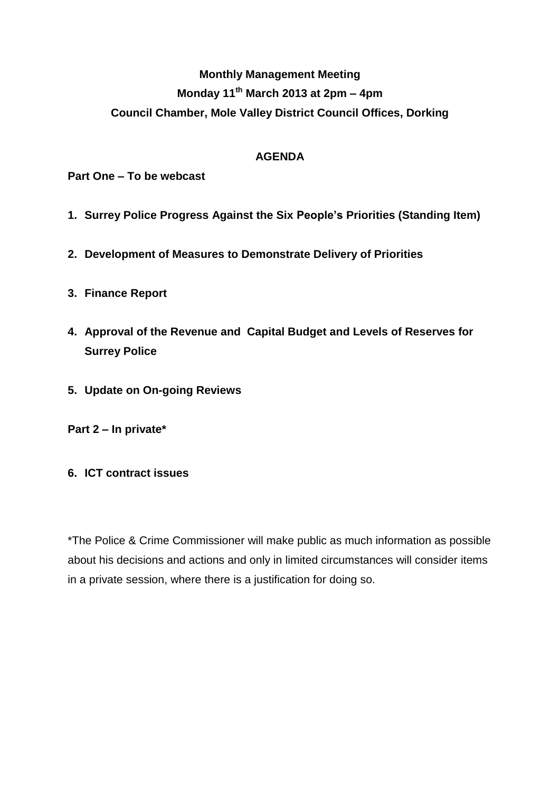## **Monthly Management Meeting Monday 11th March 2013 at 2pm – 4pm Council Chamber, Mole Valley District Council Offices, Dorking**

## **AGENDA**

**Part One – To be webcast**

- **1. Surrey Police Progress Against the Six People's Priorities (Standing Item)**
- **2. Development of Measures to Demonstrate Delivery of Priorities**
- **3. Finance Report**
- **4. Approval of the Revenue and Capital Budget and Levels of Reserves for Surrey Police**
- **5. Update on On-going Reviews**

**Part 2 – In private\***

**6. ICT contract issues**

\*The Police & Crime Commissioner will make public as much information as possible about his decisions and actions and only in limited circumstances will consider items in a private session, where there is a justification for doing so.